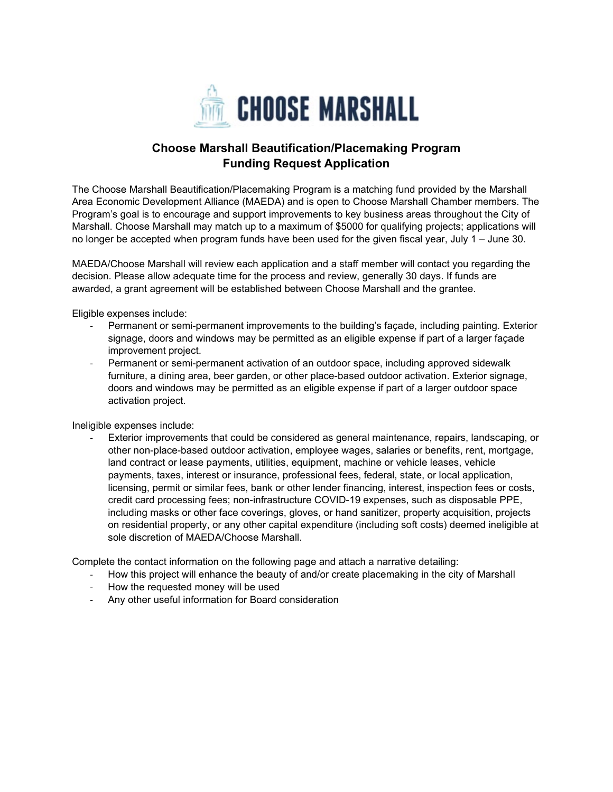

## **Choose Marshall Beautification/Placemaking Program Funding Request Application**

The Choose Marshall Beautification/Placemaking Program is a matching fund provided by the Marshall Area Economic Development Alliance (MAEDA) and is open to Choose Marshall Chamber members. The Program's goal is to encourage and support improvements to key business areas throughout the City of Marshall. Choose Marshall may match up to a maximum of \$5000 for qualifying projects; applications will no longer be accepted when program funds have been used for the given fiscal year, July 1 – June 30.

MAEDA/Choose Marshall will review each application and a staff member will contact you regarding the decision. Please allow adequate time for the process and review, generally 30 days. If funds are awarded, a grant agreement will be established between Choose Marshall and the grantee.

Eligible expenses include:

- Permanent or semi-permanent improvements to the building's façade, including painting. Exterior signage, doors and windows may be permitted as an eligible expense if part of a larger façade improvement project.
- Permanent or semi-permanent activation of an outdoor space, including approved sidewalk furniture, a dining area, beer garden, or other place-based outdoor activation. Exterior signage, doors and windows may be permitted as an eligible expense if part of a larger outdoor space activation project.

Ineligible expenses include:

Exterior improvements that could be considered as general maintenance, repairs, landscaping, or other non-place-based outdoor activation, employee wages, salaries or benefits, rent, mortgage, land contract or lease payments, utilities, equipment, machine or vehicle leases, vehicle payments, taxes, interest or insurance, professional fees, federal, state, or local application, licensing, permit or similar fees, bank or other lender financing, interest, inspection fees or costs, credit card processing fees; non-infrastructure COVID-19 expenses, such as disposable PPE, including masks or other face coverings, gloves, or hand sanitizer, property acquisition, projects on residential property, or any other capital expenditure (including soft costs) deemed ineligible at sole discretion of MAEDA/Choose Marshall.

Complete the contact information on the following page and attach a narrative detailing:

- How this project will enhance the beauty of and/or create placemaking in the city of Marshall
- How the requested money will be used
- Any other useful information for Board consideration